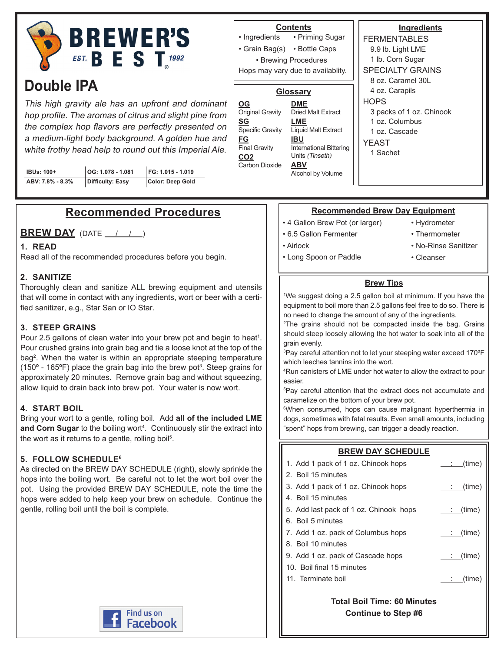

# **Double IPA**

This high gravity ale has an upfront and dominant hop profile. The aromas of citrus and slight pine from the complex hop flavors are perfectly presented on a medium-light body background. A golden hue and white frothy head help to round out this Imperial Ale.

| IBUs: 100+       | OG: 1.078 - 1.081 | FG: 1.015 - 1.019 |
|------------------|-------------------|-------------------|
| ABV: 7.8% - 8.3% | Difficulty: Easy  | Color: Deep Gold  |

# **Recommended Procedures**

## **BREW DAY** (DATE / / )

#### **1. READ**

Read all of the recommended procedures before you begin.

#### **2. SANITIZE**

Thoroughly clean and sanitize ALL brewing equipment and utensils that will come in contact with any ingredients, wort or beer with a certified sanitizer, e.g., Star San or IO Star.

#### **3. STEEP GRAINS**

Pour 2.5 gallons of clean water into your brew pot and begin to heat<sup>1</sup>. Pour crushed grains into grain bag and tie a loose knot at the top of the bag2 . When the water is within an appropriate steeping temperature (150 $^{\circ}$  - 165 $^{\circ}$ F) place the grain bag into the brew pot<sup>3</sup>. Steep grains for approximately 20 minutes. Remove grain bag and without squeezing, allow liquid to drain back into brew pot. Your water is now wort.

#### **4. START BOIL**

Bring your wort to a gentle, rolling boil. Add **all of the included LME**  and Corn Sugar to the boiling wort<sup>4</sup>. Continuously stir the extract into the wort as it returns to a gentle, rolling boil<sup>5</sup>.

#### **5. FOLLOW SCHEDULE6**

As directed on the BREW DAY SCHEDULE (right), slowly sprinkle the hops into the boiling wort. Be careful not to let the wort boil over the pot. Using the provided BREW DAY SCHEDULE, note the time the hops were added to help keep your brew on schedule. Continue the gentle, rolling boil until the boil is complete.



#### **Contents**

• Priming Sugar • Grain Bag(s) • Bottle Caps • Ingredients • Brewing Procedures

Hops may vary due to availablity.

#### **Glossary**

- **DME** Dried Malt Extract **LME** Liquid Malt Extract **IBU** International Bittering Units (Tinseth) **ABV** Alcohol by Volume **OG** Original Gravity **SG** Specific Gravity **FG** Final Gravity **CO2** Carbon Dioxide
- **Ingredients** FERMENTABLES 9.9 lb. Light LME 1 lb. Corn Sugar SPECIALTY GRAINS 8 oz. Caramel 30L 4 oz. Carapils **HOPS** 3 packs of 1 oz. Chinook 1 oz. Columbus 1 oz. Cascade YEAST 1 Sachet

### **Recommended Brew Day Equipment**

- 4 Gallon Brew Pot (or larger)
- 6.5 Gallon Fermenter

• Long Spoon or Paddle

• Airlock

- Hydrometer • Thermometer
- 
- No-Rinse Sanitizer
	- Cleanser

### **Brew Tips**

1 We suggest doing a 2.5 gallon boil at minimum. If you have the equipment to boil more than 2.5 gallons feel free to do so. There is no need to change the amount of any of the ingredients.

2 The grains should not be compacted inside the bag. Grains should steep loosely allowing the hot water to soak into all of the grain evenly.

3 Pay careful attention not to let your steeping water exceed 170ºF which leeches tannins into the wort.

4 Run canisters of LME under hot water to allow the extract to pour easier.

5 Pay careful attention that the extract does not accumulate and caramelize on the bottom of your brew pot.

6 When consumed, hops can cause malignant hyperthermia in dogs, sometimes with fatal results. Even small amounts, including "spent" hops from brewing, can trigger a deadly reaction.

# **BREW DAY SCHEDULE**

| 1. Add 1 pack of 1 oz. Chinook hops    | $:$ (time)           |
|----------------------------------------|----------------------|
| 2. Boil 15 minutes                     |                      |
| 3. Add 1 pack of 1 oz. Chinook hops    | : (time)             |
| 4. Boil 15 minutes                     |                      |
| 5. Add last pack of 1 oz. Chinook hops | : (time)             |
| 6. Boil 5 minutes                      |                      |
| 7. Add 1 oz. pack of Columbus hops     | : (time)             |
| 8. Boil 10 minutes                     |                      |
| 9. Add 1 oz. pack of Cascade hops      | <u>____;__(time)</u> |
| 10. Boil final 15 minutes              |                      |
| 11. Terminate boil                     | (time)               |
|                                        |                      |

**Total Boil Time: 60 Minutes Continue to Step #6**